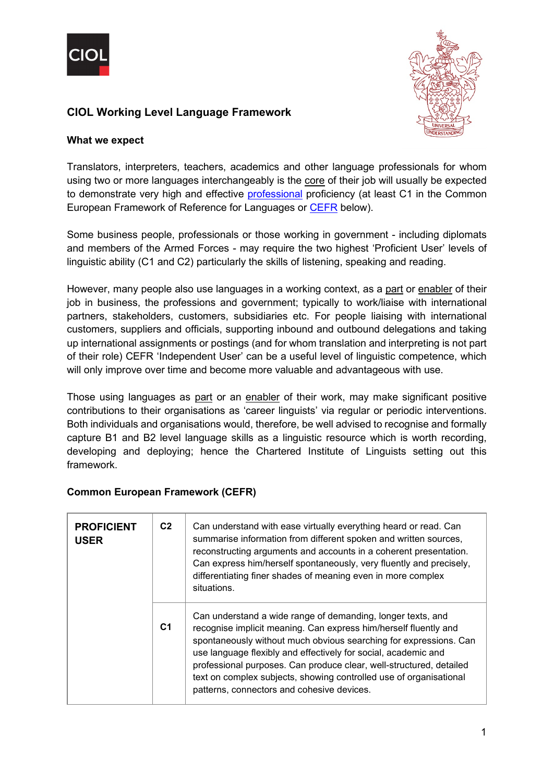



# **CIOL Working Level Language Framework**

### **What we expect**

Translators, interpreters, teachers, academics and other language professionals for whom using two or more languages interchangeably is the core of their job will usually be expected to demonstrate very high and effective [professional](https://www.ciol.org.uk/sites/default/files/P9%20-%20CIOL%20Professional%20Language%20Level%20Framework%20October%202021.pdf) proficiency (at least C1 in the Common European Framework of Reference for Languages or [CEFR](https://www.coe.int/en/web/common-european-framework-reference-languages/table-1-cefr-3.3-common-reference-levels-global-scale) below).

Some business people, professionals or those working in government - including diplomats and members of the Armed Forces - may require the two highest 'Proficient User' levels of linguistic ability (C1 and C2) particularly the skills of listening, speaking and reading.

However, many people also use languages in a working context, as a part or enabler of their job in business, the professions and government; typically to work/liaise with international partners, stakeholders, customers, subsidiaries etc. For people liaising with international customers, suppliers and officials, supporting inbound and outbound delegations and taking up international assignments or postings (and for whom translation and interpreting is not part of their role) CEFR 'Independent User' can be a useful level of linguistic competence, which will only improve over time and become more valuable and advantageous with use.

Those using languages as part or an enabler of their work, may make significant positive contributions to their organisations as 'career linguists' via regular or periodic interventions. Both individuals and organisations would, therefore, be well advised to recognise and formally capture B1 and B2 level language skills as a linguistic resource which is worth recording, developing and deploying; hence the Chartered Institute of Linguists setting out this framework.

| <b>PROFICIENT</b><br><b>USER</b> | C <sub>2</sub> | Can understand with ease virtually everything heard or read. Can<br>summarise information from different spoken and written sources,<br>reconstructing arguments and accounts in a coherent presentation.<br>Can express him/herself spontaneously, very fluently and precisely,<br>differentiating finer shades of meaning even in more complex<br>situations.                                                                                                   |
|----------------------------------|----------------|-------------------------------------------------------------------------------------------------------------------------------------------------------------------------------------------------------------------------------------------------------------------------------------------------------------------------------------------------------------------------------------------------------------------------------------------------------------------|
|                                  | C <sub>1</sub> | Can understand a wide range of demanding, longer texts, and<br>recognise implicit meaning. Can express him/herself fluently and<br>spontaneously without much obvious searching for expressions. Can<br>use language flexibly and effectively for social, academic and<br>professional purposes. Can produce clear, well-structured, detailed<br>text on complex subjects, showing controlled use of organisational<br>patterns, connectors and cohesive devices. |

### **Common European Framework (CEFR)**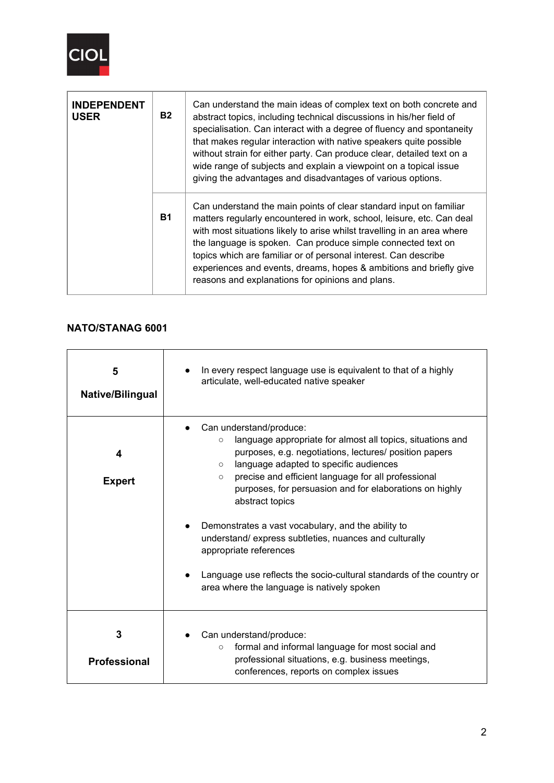

| <b>INDEPENDENT</b><br><b>USER</b> | <b>B2</b> | Can understand the main ideas of complex text on both concrete and<br>abstract topics, including technical discussions in his/her field of<br>specialisation. Can interact with a degree of fluency and spontaneity<br>that makes regular interaction with native speakers quite possible<br>without strain for either party. Can produce clear, detailed text on a<br>wide range of subjects and explain a viewpoint on a topical issue<br>giving the advantages and disadvantages of various options. |
|-----------------------------------|-----------|---------------------------------------------------------------------------------------------------------------------------------------------------------------------------------------------------------------------------------------------------------------------------------------------------------------------------------------------------------------------------------------------------------------------------------------------------------------------------------------------------------|
|                                   | <b>B1</b> | Can understand the main points of clear standard input on familiar<br>matters regularly encountered in work, school, leisure, etc. Can deal<br>with most situations likely to arise whilst travelling in an area where<br>the language is spoken. Can produce simple connected text on<br>topics which are familiar or of personal interest. Can describe<br>experiences and events, dreams, hopes & ambitions and briefly give<br>reasons and explanations for opinions and plans.                     |

## **NATO/STANAG 6001**

| 5<br>Native/Bilingual    | In every respect language use is equivalent to that of a highly<br>articulate, well-educated native speaker                                                                                                                                                                                                                                                                                                                                                                    |  |  |  |
|--------------------------|--------------------------------------------------------------------------------------------------------------------------------------------------------------------------------------------------------------------------------------------------------------------------------------------------------------------------------------------------------------------------------------------------------------------------------------------------------------------------------|--|--|--|
| 4<br><b>Expert</b>       | Can understand/produce:<br>language appropriate for almost all topics, situations and<br>$\circ$<br>purposes, e.g. negotiations, lectures/ position papers<br>language adapted to specific audiences<br>$\circ$<br>precise and efficient language for all professional<br>$\circ$<br>purposes, for persuasion and for elaborations on highly<br>abstract topics<br>Demonstrates a vast vocabulary, and the ability to<br>understand/express subtleties, nuances and culturally |  |  |  |
|                          | appropriate references<br>Language use reflects the socio-cultural standards of the country or<br>area where the language is natively spoken                                                                                                                                                                                                                                                                                                                                   |  |  |  |
| 3<br><b>Professional</b> | Can understand/produce:<br>formal and informal language for most social and<br>$\circ$<br>professional situations, e.g. business meetings,<br>conferences, reports on complex issues                                                                                                                                                                                                                                                                                           |  |  |  |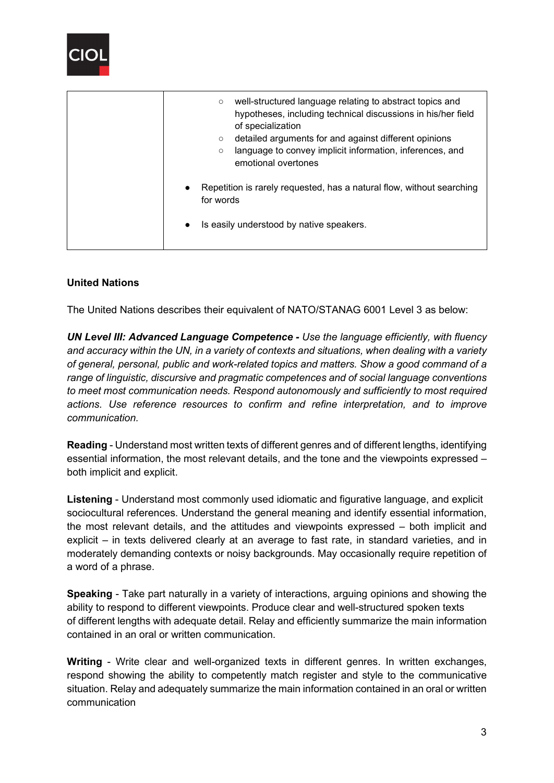

| well-structured language relating to abstract topics and<br>$\circ$<br>hypotheses, including technical discussions in his/her field<br>of specialization<br>detailed arguments for and against different opinions<br>$\circ$<br>language to convey implicit information, inferences, and<br>$\circ$<br>emotional overtones |  |  |  |
|----------------------------------------------------------------------------------------------------------------------------------------------------------------------------------------------------------------------------------------------------------------------------------------------------------------------------|--|--|--|
| Repetition is rarely requested, has a natural flow, without searching<br>$\bullet$<br>for words<br>Is easily understood by native speakers.<br>$\bullet$                                                                                                                                                                   |  |  |  |

## **United Nations**

The United Nations describes their equivalent of NATO/STANAG 6001 Level 3 as below:

*UN Level III: Advanced Language Competence - Use the language efficiently, with fluency and accuracy within the UN, in a variety of contexts and situations, when dealing with a variety of general, personal, public and work-related topics and matters. Show a good command of a range of linguistic, discursive and pragmatic competences and of social language conventions to meet most communication needs. Respond autonomously and sufficiently to most required actions. Use reference resources to confirm and refine interpretation, and to improve communication.*

**Reading** - Understand most written texts of different genres and of different lengths, identifying essential information, the most relevant details, and the tone and the viewpoints expressed – both implicit and explicit.

**Listening** - Understand most commonly used idiomatic and figurative language, and explicit sociocultural references. Understand the general meaning and identify essential information, the most relevant details, and the attitudes and viewpoints expressed – both implicit and explicit – in texts delivered clearly at an average to fast rate, in standard varieties, and in moderately demanding contexts or noisy backgrounds. May occasionally require repetition of a word of a phrase.

**Speaking** - Take part naturally in a variety of interactions, arguing opinions and showing the ability to respond to different viewpoints. Produce clear and well-structured spoken texts of different lengths with adequate detail. Relay and efficiently summarize the main information contained in an oral or written communication.

**Writing** - Write clear and well-organized texts in different genres. In written exchanges, respond showing the ability to competently match register and style to the communicative situation. Relay and adequately summarize the main information contained in an oral or written communication